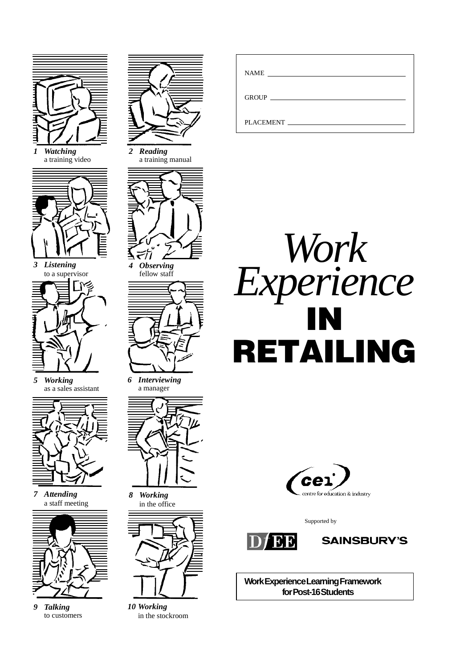

*1 Watching* a training video



*3 Listening* to a supervisor



*5 Working* as a sales assistant



*7 Attending* a staff meeting



*9 Talking* to customers



*2 Reading* a training manual



*4 Observing*



*6 Interviewing* a manager



*8 Working* in the office



*10 Working* in the stockroom

| <b>NAME</b>      |
|------------------|
|                  |
| <b>PLACEMENT</b> |





Supported by





**Work Experience Learning Framework for Post-16 Students**